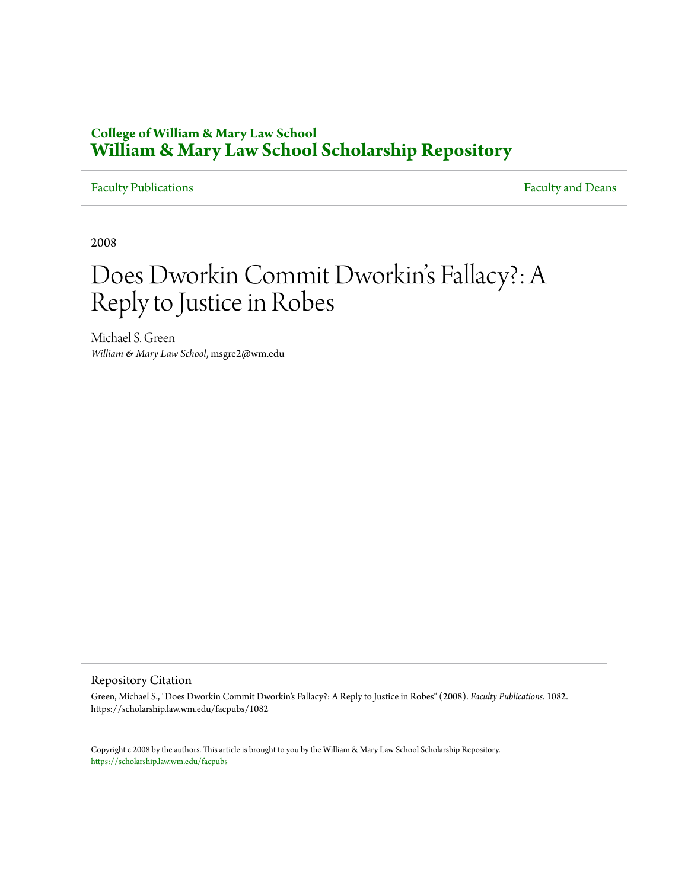# **College of William & Mary Law School [William & Mary Law School Scholarship Repository](https://scholarship.law.wm.edu)**

## [Faculty Publications](https://scholarship.law.wm.edu/facpubs) **Faculty** and Deans

2008

# Does Dworkin Commit Dworkin's Fallacy?: A Reply to Justice in Robes

Michael S. Green *William & Mary Law School*, msgre2@wm.edu

### Repository Citation

Green, Michael S., "Does Dworkin Commit Dworkin's Fallacy?: A Reply to Justice in Robes" (2008). *Faculty Publications*. 1082. https://scholarship.law.wm.edu/facpubs/1082

Copyright c 2008 by the authors. This article is brought to you by the William & Mary Law School Scholarship Repository. <https://scholarship.law.wm.edu/facpubs>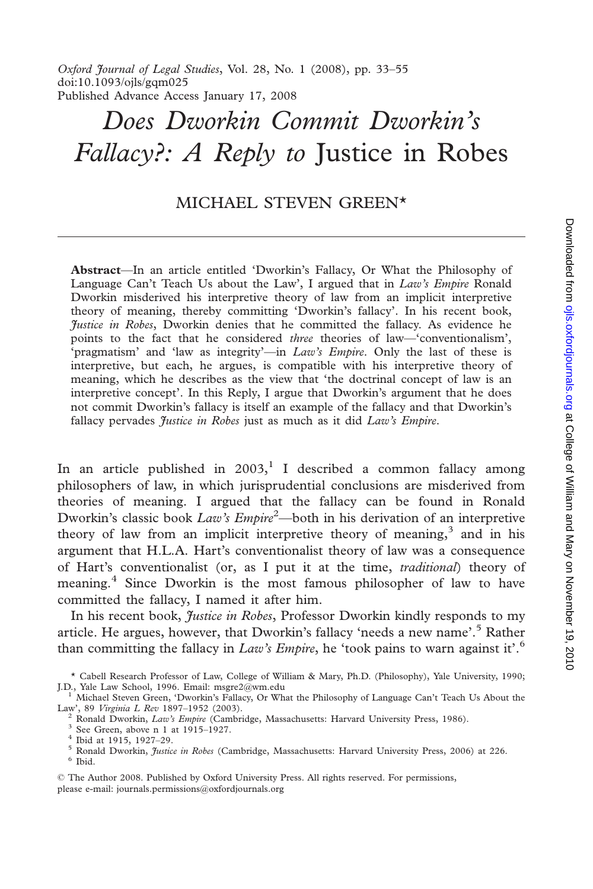Oxford Journal of Legal Studies, Vol. 28, No. 1 (2008), pp. 33–55 doi:10.1093/ojls/gqm025 Published Advance Access January 17, 2008

# Does Dworkin Commit Dworkin's Fallacy?: A Reply to Justice in Robes

## MICHAEL STEVEN GREEN\*

Abstract—In an article entitled 'Dworkin's Fallacy, Or What the Philosophy of Language Can't Teach Us about the Law', I argued that in Law's Empire Ronald Dworkin misderived his interpretive theory of law from an implicit interpretive theory of meaning, thereby committing 'Dworkin's fallacy'. In his recent book, Justice in Robes, Dworkin denies that he committed the fallacy. As evidence he points to the fact that he considered three theories of law—'conventionalism', 'pragmatism' and 'law as integrity'—in Law's Empire. Only the last of these is interpretive, but each, he argues, is compatible with his interpretive theory of meaning, which he describes as the view that 'the doctrinal concept of law is an interpretive concept'. In this Reply, I argue that Dworkin's argument that he does not commit Dworkin's fallacy is itself an example of the fallacy and that Dworkin's fallacy pervades  $\hat{f}$ ustice in Robes just as much as it did Law's Empire.

In an article published in  $2003$ ,<sup>1</sup> I described a common fallacy among philosophers of law, in which jurisprudential conclusions are misderived from theories of meaning. I argued that the fallacy can be found in Ronald Dworkin's classic book Law's  $Empire^2$ —both in his derivation of an interpretive theory of law from an implicit interpretive theory of meaning, $3$  and in his argument that H.L.A. Hart's conventionalist theory of law was a consequence of Hart's conventionalist (or, as I put it at the time, traditional) theory of meaning.<sup>4</sup> Since Dworkin is the most famous philosopher of law to have committed the fallacy, I named it after him.

In his recent book, *Justice in Robes*, Professor Dworkin kindly responds to my article. He argues, however, that Dworkin's fallacy 'needs a new name'.<sup>5</sup> Rather than committing the fallacy in Law's Empire, he 'took pains to warn against it'.<sup>6</sup>

<sup>\*</sup> Cabell Research Professor of Law, College of William & Mary, Ph.D. (Philosophy), Yale University, 1990;

J.D., Yale Law School, 1996. Email: msgre2@wm.edu<br><sup>1</sup> Michael Steven Green, 'Dworkin's Fallacy, Or What the Philosophy of Language Can't Teach Us About the Law', 89 *Virginia L Rev* 1897-1952 (2003).

 $^2$  Ronald Dworkin, *Law's Empire* (Cambridge, Massachusetts: Harvard University Press, 1986).<br>
<sup>3</sup> See Green, above n 1 at 1915–1927.<br>
<sup>4</sup> Ibid at 1915, 1927–29.<br>
<sup>5</sup> Ronald Dworkin, *Justice in Robes* (Cambridge, Massa

The Author 2008. Published by Oxford University Press. All rights reserved. For permissions, please e-mail: journals.permissions@oxfordjournals.org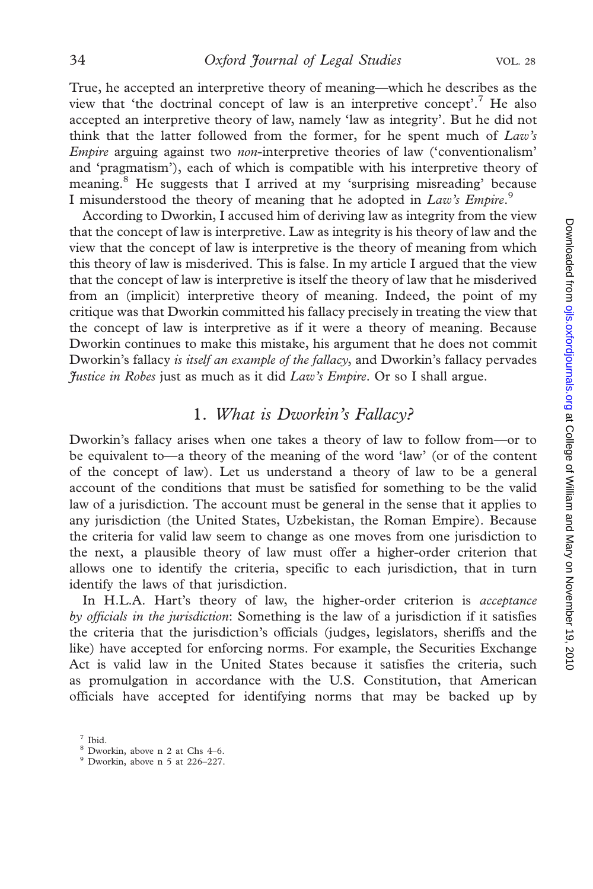True, he accepted an interpretive theory of meaning—which he describes as the view that 'the doctrinal concept of law is an interpretive concept'.<sup>7</sup> He also accepted an interpretive theory of law, namely 'law as integrity'. But he did not think that the latter followed from the former, for he spent much of Law's Empire arguing against two non-interpretive theories of law ('conventionalism' and 'pragmatism'), each of which is compatible with his interpretive theory of meaning.<sup>8</sup> He suggests that I arrived at my 'surprising misreading' because I misunderstood the theory of meaning that he adopted in Law's Empire.<sup>9</sup>

According to Dworkin, I accused him of deriving law as integrity from the view that the concept of law is interpretive. Law as integrity is his theory of law and the view that the concept of law is interpretive is the theory of meaning from which this theory of law is misderived. This is false. In my article I argued that the view that the concept of law is interpretive is itself the theory of law that he misderived from an (implicit) interpretive theory of meaning. Indeed, the point of my critique was that Dworkin committed his fallacy precisely in treating the view that the concept of law is interpretive as if it were a theory of meaning. Because Dworkin continues to make this mistake, his argument that he does not commit Dworkin's fallacy is itself an example of the fallacy, and Dworkin's fallacy pervades *Justice in Robes* just as much as it did *Law's Empire*. Or so I shall argue.

## 1. What is Dworkin's Fallacy?

Dworkin's fallacy arises when one takes a theory of law to follow from—or to be equivalent to—a theory of the meaning of the word 'law' (or of the content of the concept of law). Let us understand a theory of law to be a general account of the conditions that must be satisfied for something to be the valid law of a jurisdiction. The account must be general in the sense that it applies to any jurisdiction (the United States, Uzbekistan, the Roman Empire). Because the criteria for valid law seem to change as one moves from one jurisdiction to the next, a plausible theory of law must offer a higher-order criterion that allows one to identify the criteria, specific to each jurisdiction, that in turn identify the laws of that jurisdiction.

In H.L.A. Hart's theory of law, the higher-order criterion is acceptance by officials in the jurisdiction: Something is the law of a jurisdiction if it satisfies the criteria that the jurisdiction's officials (judges, legislators, sheriffs and the like) have accepted for enforcing norms. For example, the Securities Exchange Act is valid law in the United States because it satisfies the criteria, such as promulgation in accordance with the U.S. Constitution, that American officials have accepted for identifying norms that may be backed up by

<sup>&</sup>lt;sup>7</sup> Ibid.<br><sup>8</sup> Dworkin, above n 2 at Chs 4–6.<br><sup>9</sup> Dworkin, above n 5 at 226–227.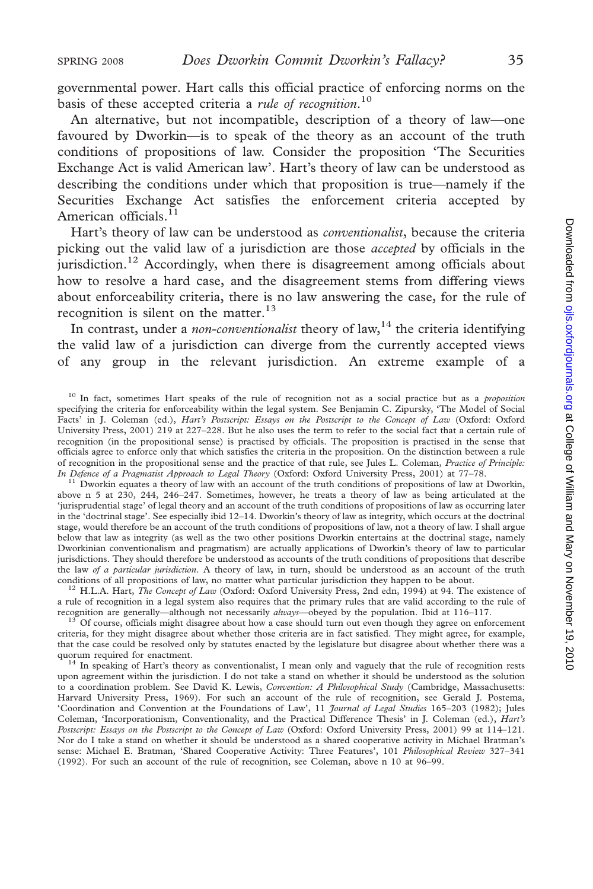governmental power. Hart calls this official practice of enforcing norms on the basis of these accepted criteria a *rule of recognition*.<sup>10</sup>

An alternative, but not incompatible, description of a theory of law—one favoured by Dworkin—is to speak of the theory as an account of the truth conditions of propositions of law. Consider the proposition 'The Securities Exchange Act is valid American law'. Hart's theory of law can be understood as describing the conditions under which that proposition is true—namely if the Securities Exchange Act satisfies the enforcement criteria accepted by American officials.<sup>11</sup>

Hart's theory of law can be understood as conventionalist, because the criteria picking out the valid law of a jurisdiction are those accepted by officials in the jurisdiction.<sup>12</sup> Accordingly, when there is disagreement among officials about how to resolve a hard case, and the disagreement stems from differing views about enforceability criteria, there is no law answering the case, for the rule of recognition is silent on the matter.<sup>13</sup>

In contrast, under a *non-conventionalist* theory of law,<sup>14</sup> the criteria identifying the valid law of a jurisdiction can diverge from the currently accepted views of any group in the relevant jurisdiction. An extreme example of a

above n 5 at 230, 244, 246–247. Sometimes, however, he treats a theory of law as being articulated at the 'jurisprudential stage' of legal theory and an account of the truth conditions of propositions of law as occurring later in the 'doctrinal stage'. See especially ibid 12–14. Dworkin's theory of law as integrity, which occurs at the doctrinal stage, would therefore be an account of the truth conditions of propositions of law, not a theory of law. I shall argue below that law as integrity (as well as the two other positions Dworkin entertains at the doctrinal stage, namely Dworkinian conventionalism and pragmatism) are actually applications of Dworkin's theory of law to particular jurisdictions. They should therefore be understood as accounts of the truth conditions of propositions that describe the law of a particular jurisdiction. A theory of law, in turn, should be understood as an account of the truth

conditions of all propositions of law, no matter what particular jurisdiction they happen to be about.<br><sup>12</sup> H.L.A. Hart, *The Concept of Law* (Oxford: Oxford University Press, 2nd edn, 1994) at 94. The existence of a rule of recognition in a legal system also requires that the primary rules that are valid according to the rule of

recognition are generally—although not necessarily *always*—obeyed by the population. Ibid at 116–117.<br><sup>13</sup> Of course, officials might disagree about how a case should turn out even though they agree on enforcement criteria, for they might disagree about whether those criteria are in fact satisfied. They might agree, for example, that the case could be resolved only by statutes enacted by the legislature but disagree about whether there was a quorum required for enactment.<br><sup>14</sup> In speaking of Hart's theory as conventionalist, I mean only and vaguely that the rule of recognition rests

upon agreement within the jurisdiction. I do not take a stand on whether it should be understood as the solution to a coordination problem. See David K. Lewis, Convention: A Philosophical Study (Cambridge, Massachusetts: Harvard University Press, 1969). For such an account of the rule of recognition, see Gerald J. Postema, 'Coordination and Convention at the Foundations of Law', 11 Journal of Legal Studies 165-203 (1982); Jules Coleman, 'Incorporationism, Conventionality, and the Practical Difference Thesis' in J. Coleman (ed.), Hart's Postscript: Essays on the Postscript to the Concept of Law (Oxford: Oxford University Press, 2001) 99 at 114–121. Nor do I take a stand on whether it should be understood as a shared cooperative activity in Michael Bratman's sense: Michael E. Bratman, 'Shared Cooperative Activity: Three Features', 101 Philosophical Review 327-341 (1992). For such an account of the rule of recognition, see Coleman, above n 10 at 96–99.

<sup>&</sup>lt;sup>10</sup> In fact, sometimes Hart speaks of the rule of recognition not as a social practice but as a *proposition* specifying the criteria for enforceability within the legal system. See Benjamin C. Zipursky, 'The Model of Social Facts' in J. Coleman (ed.), Hart's Postscript: Essays on the Postscript to the Concept of Law (Oxford: Oxford University Press, 2001) 219 at 227–228. But he also uses the term to refer to the social fact that a certain rule of recognition (in the propositional sense) is practised by officials. The proposition is practised in the sense that officials agree to enforce only that which satisfies the criteria in the proposition. On the distinction between a rule of recognition in the propositional sense and the practice of that rule, see Jules L. Coleman, Practice of Principle: In Defence of a Pragmatist Approach to Legal Theory (Oxford: Oxford University Press, 2001) at 77–78.<br><sup>11</sup> Dworkin equates a theory of law with an account of the truth conditions of propositions of law at Dworkin,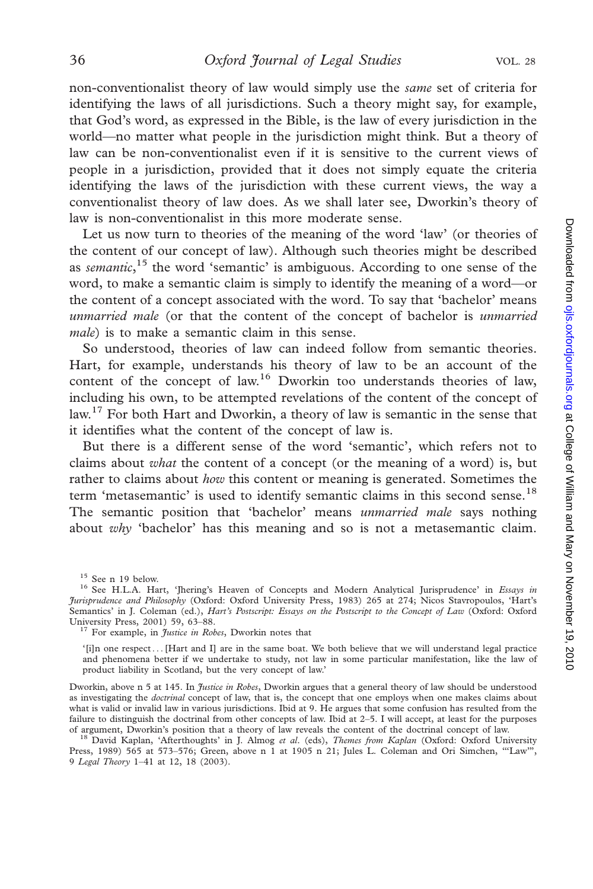non-conventionalist theory of law would simply use the same set of criteria for identifying the laws of all jurisdictions. Such a theory might say, for example, that God's word, as expressed in the Bible, is the law of every jurisdiction in the world—no matter what people in the jurisdiction might think. But a theory of law can be non-conventionalist even if it is sensitive to the current views of people in a jurisdiction, provided that it does not simply equate the criteria identifying the laws of the jurisdiction with these current views, the way a conventionalist theory of law does. As we shall later see, Dworkin's theory of law is non-conventionalist in this more moderate sense.

Let us now turn to theories of the meaning of the word 'law' (or theories of the content of our concept of law). Although such theories might be described as semantic,<sup>15</sup> the word 'semantic' is ambiguous. According to one sense of the word, to make a semantic claim is simply to identify the meaning of a word—or the content of a concept associated with the word. To say that 'bachelor' means unmarried male (or that the content of the concept of bachelor is unmarried male) is to make a semantic claim in this sense.

So understood, theories of law can indeed follow from semantic theories. Hart, for example, understands his theory of law to be an account of the content of the concept of law.<sup>16</sup> Dworkin too understands theories of law, including his own, to be attempted revelations of the content of the concept of law.<sup>17</sup> For both Hart and Dworkin, a theory of law is semantic in the sense that it identifies what the content of the concept of law is.

But there is a different sense of the word 'semantic', which refers not to claims about *what* the content of a concept (or the meaning of a word) is, but rather to claims about *how* this content or meaning is generated. Sometimes the term 'metasemantic' is used to identify semantic claims in this second sense.<sup>18</sup> The semantic position that 'bachelor' means *unmarried male* says nothing about why 'bachelor' has this meaning and so is not a metasemantic claim.

Dworkin, above n 5 at 145. In *Justice in Robes*, Dworkin argues that a general theory of law should be understood as investigating the *doctrinal* concept of law, that is, the concept that one employs when one makes claims about what is valid or invalid law in various jurisdictions. Ibid at 9. He argues that some confusion has resulted from the failure to distinguish the doctrinal from other concepts of law. Ibid at 2–5. I will accept, at least for the purposes of argument, Dworkin's position that a theory of law reveals the content of the doctrinal concept of la

David Kaplan, 'Afterthoughts' in J. Almog et al. (eds), Themes from Kaplan (Oxford: Oxford University Press, 1989) 565 at 573-576; Green, above n 1 at 1905 n 21; Jules L. Coleman and Ori Simchen, "'Law"', 9 Legal Theory 1–41 at 12, 18 (2003).

<sup>&</sup>lt;sup>15</sup> See n 19 below.<br><sup>16</sup> See H.L.A. Hart, 'Jhering's Heaven of Concepts and Modern Analytical Jurisprudence' in *Essays in* Jurisprudence and Philosophy (Oxford: Oxford University Press, 1983) 265 at 274; Nicos Stavropoulos, 'Hart's Semantics' in J. Coleman (ed.), Hart's Postscript: Essays on the Postscript to the Concept of Law (Oxford: Oxford University Press, 2001) 59, 63-88.

 $17$  For example, in *Justice in Robes*, Dworkin notes that

<sup>&#</sup>x27;[i]n one respect...[Hart and I] are in the same boat. We both believe that we will understand legal practice and phenomena better if we undertake to study, not law in some particular manifestation, like the law of product liability in Scotland, but the very concept of law.'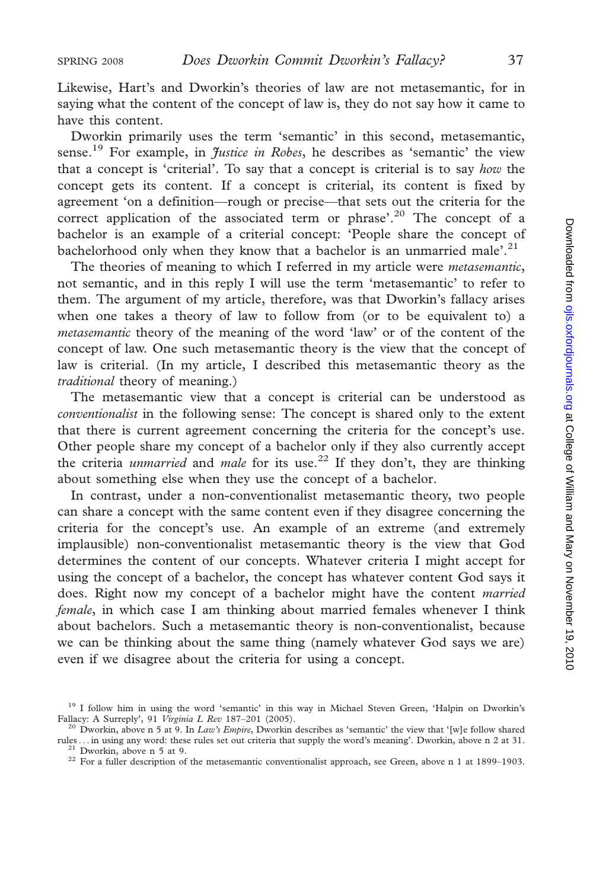Likewise, Hart's and Dworkin's theories of law are not metasemantic, for in saying what the content of the concept of law is, they do not say how it came to have this content.

Dworkin primarily uses the term 'semantic' in this second, metasemantic, sense.<sup>19</sup> For example, in *Justice in Robes*, he describes as 'semantic' the view that a concept is 'criterial'. To say that a concept is criterial is to say how the concept gets its content. If a concept is criterial, its content is fixed by agreement 'on a definition—rough or precise—that sets out the criteria for the correct application of the associated term or phrase'.<sup>20</sup> The concept of a bachelor is an example of a criterial concept: 'People share the concept of bachelorhood only when they know that a bachelor is an unmarried male<sup> $21$ </sup>.

The theories of meaning to which I referred in my article were metasemantic, not semantic, and in this reply I will use the term 'metasemantic' to refer to them. The argument of my article, therefore, was that Dworkin's fallacy arises when one takes a theory of law to follow from (or to be equivalent to) a metasemantic theory of the meaning of the word 'law' or of the content of the concept of law. One such metasemantic theory is the view that the concept of law is criterial. (In my article, I described this metasemantic theory as the traditional theory of meaning.)

The metasemantic view that a concept is criterial can be understood as conventionalist in the following sense: The concept is shared only to the extent that there is current agreement concerning the criteria for the concept's use. Other people share my concept of a bachelor only if they also currently accept the criteria *unmarried* and *male* for its use.<sup>22</sup> If they don't, they are thinking about something else when they use the concept of a bachelor.

In contrast, under a non-conventionalist metasemantic theory, two people can share a concept with the same content even if they disagree concerning the criteria for the concept's use. An example of an extreme (and extremely implausible) non-conventionalist metasemantic theory is the view that God determines the content of our concepts. Whatever criteria I might accept for using the concept of a bachelor, the concept has whatever content God says it does. Right now my concept of a bachelor might have the content married female, in which case I am thinking about married females whenever I think about bachelors. Such a metasemantic theory is non-conventionalist, because we can be thinking about the same thing (namely whatever God says we are) even if we disagree about the criteria for using a concept.

<sup>&</sup>lt;sup>19</sup> I follow him in using the word 'semantic' in this way in Michael Steven Green, 'Halpin on Dworkin's Fallacy: A Surreply', 91 Virginia L Rev 187-201 (2005).

<sup>&</sup>lt;sup>20</sup> Dworkin, above n 5 at 9. In Law's Empire, Dworkin describes as 'semantic' the view that '[w]e follow shared rules ... in using any word: these rules set out criteria that supply the word's meaning'. Dworkin, above n 2 at 31.<br><sup>21</sup> Dworkin, above n 5 at 9.<br><sup>22</sup> For a fuller description of the metasemantic conventionalist approach,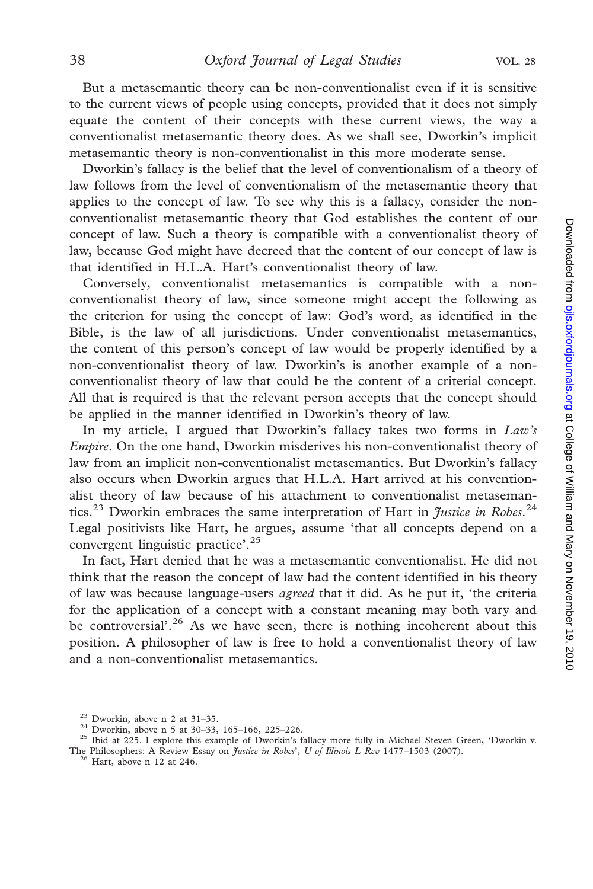But a metasemantic theory can be non-conventionalist even if it is sensitive to the current views of people using concepts, provided that it does not simply equate the content of their concepts with these current views, the way a conventionalist metasemantic theory does. As we shall see, Dworkin's implicit metasemantic theory is non-conventionalist in this more moderate sense.

Dworkin's fallacy is the belief that the level of conventionalism of a theory of law follows from the level of conventionalism of the metasemantic theory that applies to the concept of law. To see why this is a fallacy, consider the nonconventionalist metasemantic theory that God establishes the content of our concept of law. Such a theory is compatible with a conventionalist theory of law, because God might have decreed that the content of our concept of law is that identified in H.L.A. Hart's conventionalist theory of law.

Conversely, conventionalist metasemantics is compatible with a nonconventionalist theory of law, since someone might accept the following as the criterion for using the concept of law: God's word, as identified in the Bible, is the law of all jurisdictions. Under conventionalist metasemantics, the content of this person's concept of law would be properly identified by a non-conventionalist theory of law. Dworkin's is another example of a nonconventionalist theory of law that could be the content of a criterial concept. All that is required is that the relevant person accepts that the concept should be applied in the manner identified in Dworkin's theory of law.

In my article, I argued that Dworkin's fallacy takes two forms in Law's Empire. On the one hand, Dworkin misderives his non-conventionalist theory of law from an implicit non-conventionalist metasemantics. But Dworkin's fallacy also occurs when Dworkin argues that H.L.A. Hart arrived at his conventionalist theory of law because of his attachment to conventionalist metasemantics.<sup>23</sup> Dworkin embraces the same interpretation of Hart in *Justice in Robes.*<sup>24</sup> Legal positivists like Hart, he argues, assume 'that all concepts depend on a convergent linguistic practice'.<sup>25</sup>

In fact, Hart denied that he was a metasemantic conventionalist. He did not think that the reason the concept of law had the content identified in his theory of law was because language-users agreed that it did. As he put it, 'the criteria for the application of a concept with a constant meaning may both vary and be controversial'.<sup>26</sup> As we have seen, there is nothing incoherent about this position. A philosopher of law is free to hold a conventionalist theory of law and a non-conventionalist metasemantics.

<sup>&</sup>lt;sup>23</sup> Dworkin, above n 2 at 31–35.<br><sup>24</sup> Dworkin, above n 5 at 30–33, 165–166, 225–226.<br><sup>25</sup> Ibid at 225. I explore this example of Dworkin's fallacy more fully in Michael Steven Green, 'Dworkin v.

The Philosophers: A Review Essay on *Justice in Robes'*, U of Illinois L Rev 1477–1503 (2007). <sup>26</sup> Hart, above n 12 at 246.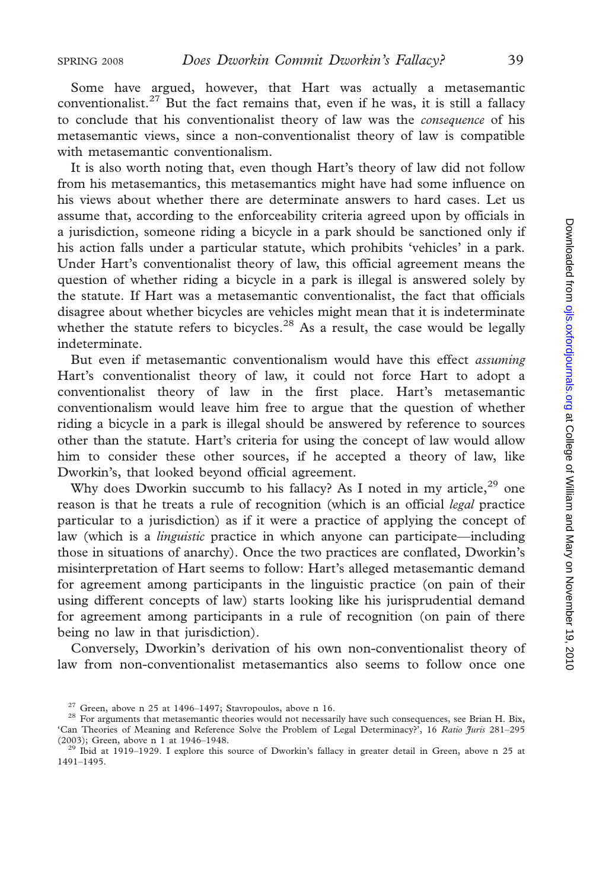Some have argued, however, that Hart was actually a metasemantic conventionalist.<sup>27</sup> But the fact remains that, even if he was, it is still a fallacy to conclude that his conventionalist theory of law was the consequence of his metasemantic views, since a non-conventionalist theory of law is compatible with metasemantic conventionalism.

It is also worth noting that, even though Hart's theory of law did not follow from his metasemantics, this metasemantics might have had some influence on his views about whether there are determinate answers to hard cases. Let us assume that, according to the enforceability criteria agreed upon by officials in a jurisdiction, someone riding a bicycle in a park should be sanctioned only if his action falls under a particular statute, which prohibits 'vehicles' in a park. Under Hart's conventionalist theory of law, this official agreement means the question of whether riding a bicycle in a park is illegal is answered solely by the statute. If Hart was a metasemantic conventionalist, the fact that officials disagree about whether bicycles are vehicles might mean that it is indeterminate whether the statute refers to bicycles.<sup>28</sup> As a result, the case would be legally indeterminate.

But even if metasemantic conventionalism would have this effect assuming Hart's conventionalist theory of law, it could not force Hart to adopt a conventionalist theory of law in the first place. Hart's metasemantic conventionalism would leave him free to argue that the question of whether riding a bicycle in a park is illegal should be answered by reference to sources other than the statute. Hart's criteria for using the concept of law would allow him to consider these other sources, if he accepted a theory of law, like Dworkin's, that looked beyond official agreement.

Why does Dworkin succumb to his fallacy? As I noted in my article, $29$  one reason is that he treats a rule of recognition (which is an official legal practice particular to a jurisdiction) as if it were a practice of applying the concept of law (which is a linguistic practice in which anyone can participate—including those in situations of anarchy). Once the two practices are conflated, Dworkin's misinterpretation of Hart seems to follow: Hart's alleged metasemantic demand for agreement among participants in the linguistic practice (on pain of their using different concepts of law) starts looking like his jurisprudential demand for agreement among participants in a rule of recognition (on pain of there being no law in that jurisdiction).

Conversely, Dworkin's derivation of his own non-conventionalist theory of law from non-conventionalist metasemantics also seems to follow once one

<sup>&</sup>lt;sup>27</sup> Green, above n 25 at 1496–1497; Stavropoulos, above n 16.<br><sup>28</sup> For arguments that metasemantic theories would not necessarily have such consequences, see Brian H. Bix, 'Can Theories of Meaning and Reference Solve the Problem of Legal Determinacy?', 16 Ratio Juris 281-295 (2003); Green, above n 1 at 1946–1948.<br><sup>29</sup> Ibid at 1919–1929. I explore this source of Dworkin's fallacy in greater detail in Green, above n 25 at

<sup>1491–1495.</sup>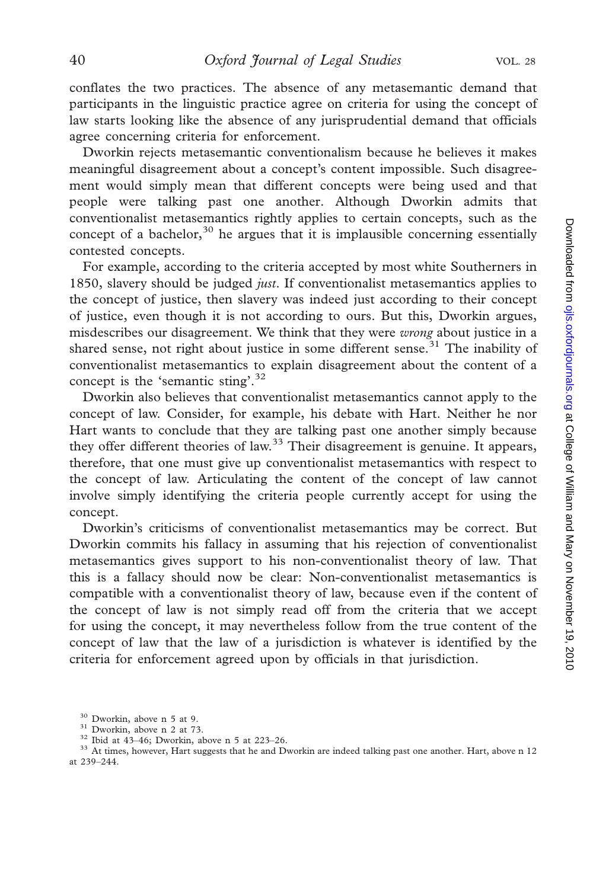conflates the two practices. The absence of any metasemantic demand that participants in the linguistic practice agree on criteria for using the concept of law starts looking like the absence of any jurisprudential demand that officials agree concerning criteria for enforcement.

Dworkin rejects metasemantic conventionalism because he believes it makes meaningful disagreement about a concept's content impossible. Such disagreement would simply mean that different concepts were being used and that people were talking past one another. Although Dworkin admits that conventionalist metasemantics rightly applies to certain concepts, such as the concept of a bachelor,  $30$  he argues that it is implausible concerning essentially contested concepts.

For example, according to the criteria accepted by most white Southerners in 1850, slavery should be judged *just*. If conventionalist metasemantics applies to the concept of justice, then slavery was indeed just according to their concept of justice, even though it is not according to ours. But this, Dworkin argues, misdescribes our disagreement. We think that they were wrong about justice in a shared sense, not right about justice in some different sense.<sup>31</sup> The inability of conventionalist metasemantics to explain disagreement about the content of a concept is the 'semantic sting'.<sup>32</sup>

Dworkin also believes that conventionalist metasemantics cannot apply to the concept of law. Consider, for example, his debate with Hart. Neither he nor Hart wants to conclude that they are talking past one another simply because they offer different theories of law.<sup>33</sup> Their disagreement is genuine. It appears, therefore, that one must give up conventionalist metasemantics with respect to the concept of law. Articulating the content of the concept of law cannot involve simply identifying the criteria people currently accept for using the concept.

Dworkin's criticisms of conventionalist metasemantics may be correct. But Dworkin commits his fallacy in assuming that his rejection of conventionalist metasemantics gives support to his non-conventionalist theory of law. That this is a fallacy should now be clear: Non-conventionalist metasemantics is compatible with a conventionalist theory of law, because even if the content of the concept of law is not simply read off from the criteria that we accept for using the concept, it may nevertheless follow from the true content of the concept of law that the law of a jurisdiction is whatever is identified by the criteria for enforcement agreed upon by officials in that jurisdiction.

<sup>&</sup>lt;sup>30</sup> Dworkin, above n 5 at 9.<br><sup>31</sup> Dworkin, above n 2 at 73.<br><sup>32</sup> Ibid at 43–46; Dworkin, above n 5 at 223–26.<br><sup>33</sup> At times, however, Hart suggests that he and Dworkin are indeed talking past one another. Hart, above n 1 at 239–244.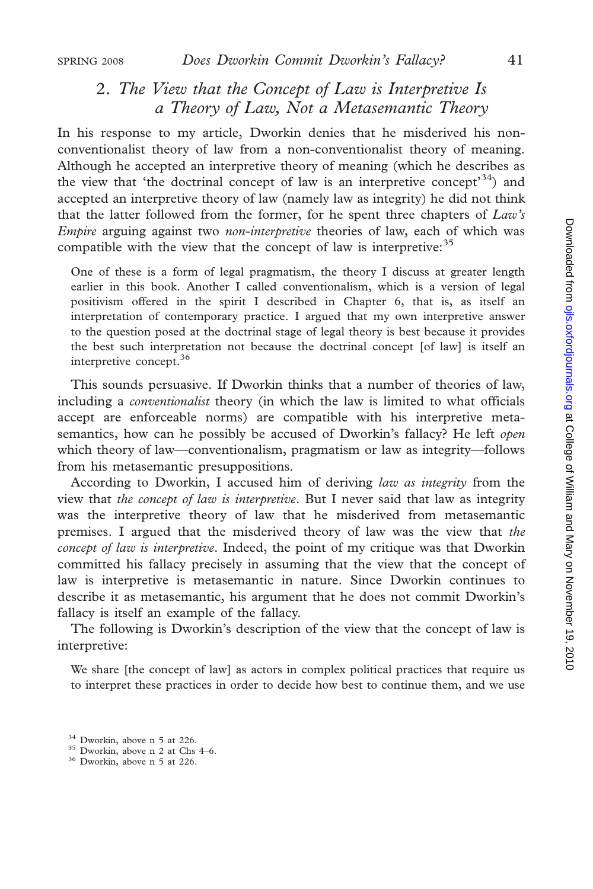# 2. The View that the Concept of Law is Interpretive Is a Theory of Law, Not a Metasemantic Theory

In his response to my article, Dworkin denies that he misderived his nonconventionalist theory of law from a non-conventionalist theory of meaning. Although he accepted an interpretive theory of meaning (which he describes as the view that 'the doctrinal concept of law is an interpretive concept<sup>34</sup>) and accepted an interpretive theory of law (namely law as integrity) he did not think that the latter followed from the former, for he spent three chapters of Law's Empire arguing against two non-interpretive theories of law, each of which was compatible with the view that the concept of law is interpretive:  $35$ 

One of these is a form of legal pragmatism, the theory I discuss at greater length earlier in this book. Another I called conventionalism, which is a version of legal positivism offered in the spirit I described in Chapter 6, that is, as itself an interpretation of contemporary practice. I argued that my own interpretive answer to the question posed at the doctrinal stage of legal theory is best because it provides the best such interpretation not because the doctrinal concept [of law] is itself an interpretive concept.<sup>36</sup>

This sounds persuasive. If Dworkin thinks that a number of theories of law, including a conventionalist theory (in which the law is limited to what officials accept are enforceable norms) are compatible with his interpretive metasemantics, how can he possibly be accused of Dworkin's fallacy? He left *open* which theory of law—conventionalism, pragmatism or law as integrity—follows from his metasemantic presuppositions.

According to Dworkin, I accused him of deriving law as integrity from the view that the concept of law is interpretive. But I never said that law as integrity was the interpretive theory of law that he misderived from metasemantic premises. I argued that the misderived theory of law was the view that the concept of law is interpretive. Indeed, the point of my critique was that Dworkin committed his fallacy precisely in assuming that the view that the concept of law is interpretive is metasemantic in nature. Since Dworkin continues to describe it as metasemantic, his argument that he does not commit Dworkin's fallacy is itself an example of the fallacy.

The following is Dworkin's description of the view that the concept of law is interpretive:

We share [the concept of law] as actors in complex political practices that require us to interpret these practices in order to decide how best to continue them, and we use

<sup>&</sup>lt;sup>34</sup> Dworkin, above n 5 at 226.<br><sup>35</sup> Dworkin, above n 2 at Chs 4–6.<br><sup>36</sup> Dworkin, above n 5 at 226.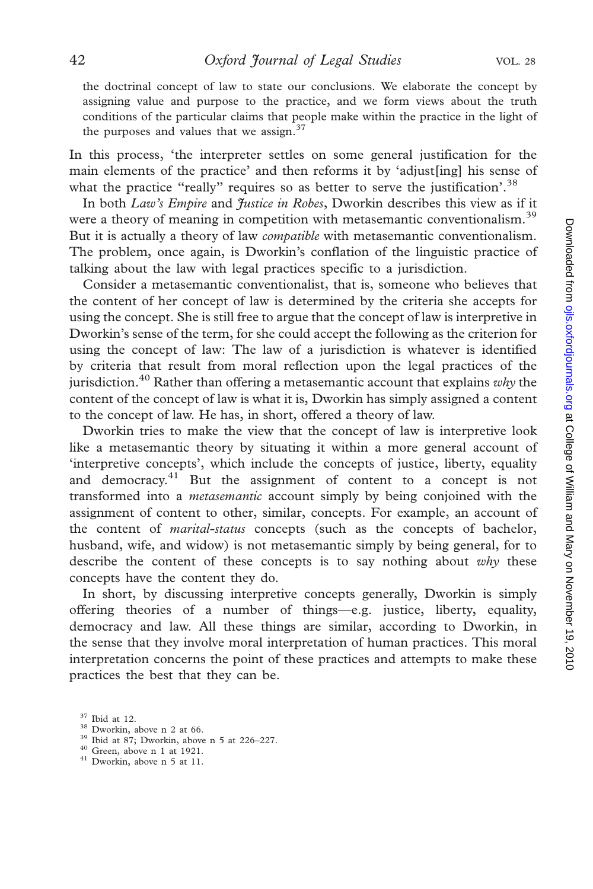the doctrinal concept of law to state our conclusions. We elaborate the concept by assigning value and purpose to the practice, and we form views about the truth conditions of the particular claims that people make within the practice in the light of the purposes and values that we assign. $37$ 

In this process, 'the interpreter settles on some general justification for the main elements of the practice' and then reforms it by 'adjust[ing] his sense of what the practice "really" requires so as better to serve the justification'.<sup>38</sup>

In both Law's Empire and Justice in Robes, Dworkin describes this view as if it were a theory of meaning in competition with metasemantic conventionalism.<sup>39</sup> But it is actually a theory of law compatible with metasemantic conventionalism. The problem, once again, is Dworkin's conflation of the linguistic practice of talking about the law with legal practices specific to a jurisdiction.

Consider a metasemantic conventionalist, that is, someone who believes that the content of her concept of law is determined by the criteria she accepts for using the concept. She is still free to argue that the concept of law is interpretive in Dworkin's sense of the term, for she could accept the following as the criterion for using the concept of law: The law of a jurisdiction is whatever is identified by criteria that result from moral reflection upon the legal practices of the jurisdiction.<sup>40</sup> Rather than offering a metasemantic account that explains  $why$  the content of the concept of law is what it is, Dworkin has simply assigned a content to the concept of law. He has, in short, offered a theory of law.

Dworkin tries to make the view that the concept of law is interpretive look like a metasemantic theory by situating it within a more general account of 'interpretive concepts', which include the concepts of justice, liberty, equality and democracy.<sup>41</sup> But the assignment of content to a concept is not transformed into a metasemantic account simply by being conjoined with the assignment of content to other, similar, concepts. For example, an account of the content of marital-status concepts (such as the concepts of bachelor, husband, wife, and widow) is not metasemantic simply by being general, for to describe the content of these concepts is to say nothing about why these concepts have the content they do.

In short, by discussing interpretive concepts generally, Dworkin is simply offering theories of a number of things—e.g. justice, liberty, equality, democracy and law. All these things are similar, according to Dworkin, in the sense that they involve moral interpretation of human practices. This moral interpretation concerns the point of these practices and attempts to make these practices the best that they can be.

<sup>&</sup>lt;sup>37</sup> Ibid at 12.<br><sup>38</sup> Ibid at 87; Dworkin, above n 5 at 226–227.<br><sup>40</sup> Green, above n 1 at 1921.<br><sup>41</sup> Dworkin, above n 5 at 11.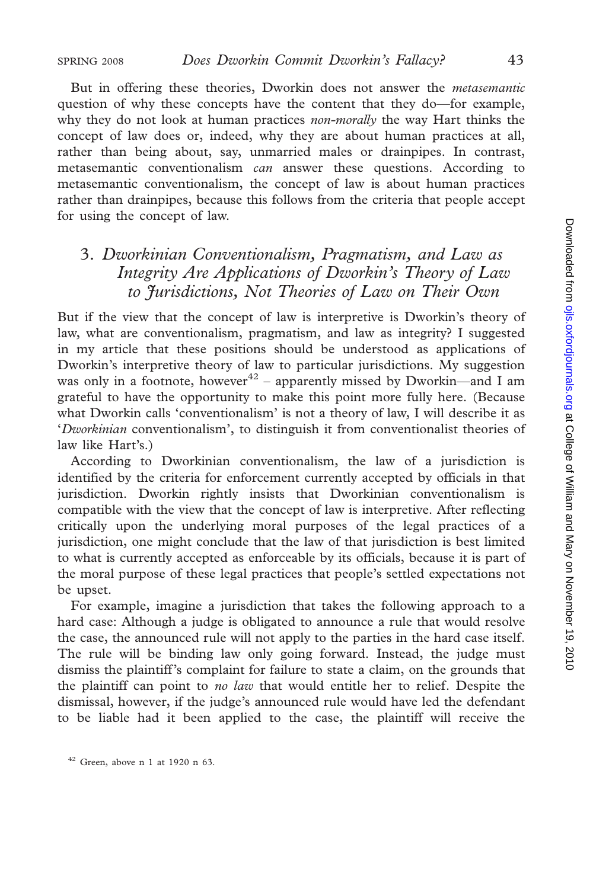But in offering these theories, Dworkin does not answer the metasemantic question of why these concepts have the content that they do—for example, why they do not look at human practices *non-morally* the way Hart thinks the concept of law does or, indeed, why they are about human practices at all, rather than being about, say, unmarried males or drainpipes. In contrast, metasemantic conventionalism *can* answer these questions. According to metasemantic conventionalism, the concept of law is about human practices rather than drainpipes, because this follows from the criteria that people accept for using the concept of law.

# 3. Dworkinian Conventionalism, Pragmatism, and Law as Integrity Are Applications of Dworkin's Theory of Law to Jurisdictions, Not Theories of Law on Their Own

But if the view that the concept of law is interpretive is Dworkin's theory of law, what are conventionalism, pragmatism, and law as integrity? I suggested in my article that these positions should be understood as applications of Dworkin's interpretive theory of law to particular jurisdictions. My suggestion was only in a footnote, however $42$  – apparently missed by Dworkin—and I am grateful to have the opportunity to make this point more fully here. (Because what Dworkin calls 'conventionalism' is not a theory of law, I will describe it as 'Dworkinian conventionalism', to distinguish it from conventionalist theories of law like Hart's.)

According to Dworkinian conventionalism, the law of a jurisdiction is identified by the criteria for enforcement currently accepted by officials in that jurisdiction. Dworkin rightly insists that Dworkinian conventionalism is compatible with the view that the concept of law is interpretive. After reflecting critically upon the underlying moral purposes of the legal practices of a jurisdiction, one might conclude that the law of that jurisdiction is best limited to what is currently accepted as enforceable by its officials, because it is part of the moral purpose of these legal practices that people's settled expectations not be upset.

For example, imagine a jurisdiction that takes the following approach to a hard case: Although a judge is obligated to announce a rule that would resolve the case, the announced rule will not apply to the parties in the hard case itself. The rule will be binding law only going forward. Instead, the judge must dismiss the plaintiff's complaint for failure to state a claim, on the grounds that the plaintiff can point to no law that would entitle her to relief. Despite the dismissal, however, if the judge's announced rule would have led the defendant to be liable had it been applied to the case, the plaintiff will receive the

<sup>42</sup> Green, above n 1 at 1920 n 63.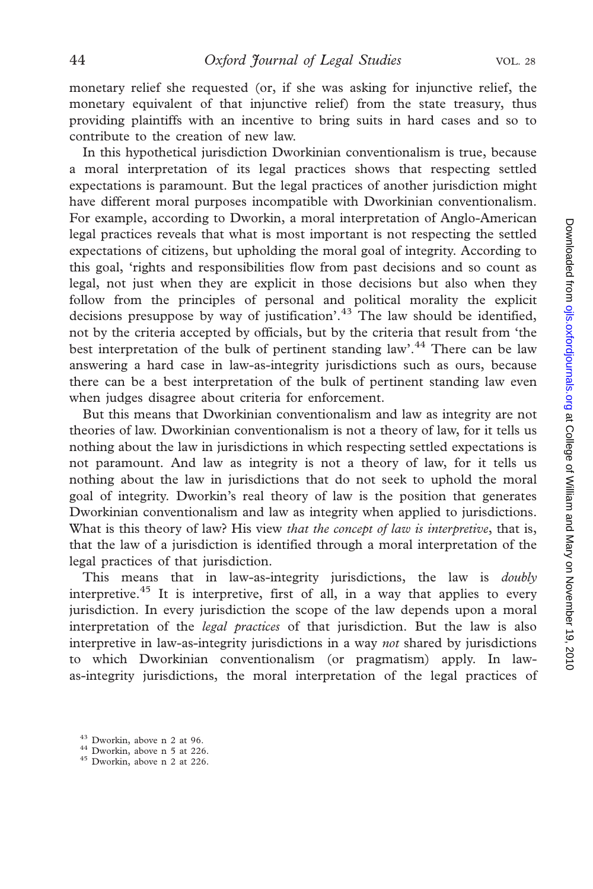monetary relief she requested (or, if she was asking for injunctive relief, the monetary equivalent of that injunctive relief) from the state treasury, thus providing plaintiffs with an incentive to bring suits in hard cases and so to contribute to the creation of new law.

In this hypothetical jurisdiction Dworkinian conventionalism is true, because a moral interpretation of its legal practices shows that respecting settled expectations is paramount. But the legal practices of another jurisdiction might have different moral purposes incompatible with Dworkinian conventionalism. For example, according to Dworkin, a moral interpretation of Anglo-American legal practices reveals that what is most important is not respecting the settled expectations of citizens, but upholding the moral goal of integrity. According to this goal, 'rights and responsibilities flow from past decisions and so count as legal, not just when they are explicit in those decisions but also when they follow from the principles of personal and political morality the explicit decisions presuppose by way of justification'.<sup>43</sup> The law should be identified, not by the criteria accepted by officials, but by the criteria that result from 'the best interpretation of the bulk of pertinent standing law'.<sup>44</sup> There can be law answering a hard case in law-as-integrity jurisdictions such as ours, because there can be a best interpretation of the bulk of pertinent standing law even when judges disagree about criteria for enforcement.

But this means that Dworkinian conventionalism and law as integrity are not theories of law. Dworkinian conventionalism is not a theory of law, for it tells us nothing about the law in jurisdictions in which respecting settled expectations is not paramount. And law as integrity is not a theory of law, for it tells us nothing about the law in jurisdictions that do not seek to uphold the moral goal of integrity. Dworkin's real theory of law is the position that generates Dworkinian conventionalism and law as integrity when applied to jurisdictions. What is this theory of law? His view *that the concept of law is interpretive*, that is, that the law of a jurisdiction is identified through a moral interpretation of the legal practices of that jurisdiction.

This means that in law-as-integrity jurisdictions, the law is *doubly* interpretive.<sup>45</sup> It is interpretive, first of all, in a way that applies to every jurisdiction. In every jurisdiction the scope of the law depends upon a moral interpretation of the *legal practices* of that jurisdiction. But the law is also interpretive in law-as-integrity jurisdictions in a way not shared by jurisdictions to which Dworkinian conventionalism (or pragmatism) apply. In lawas-integrity jurisdictions, the moral interpretation of the legal practices of

<sup>&</sup>lt;sup>43</sup> Dworkin, above n 2 at 96.<br><sup>44</sup> Dworkin, above n 5 at 226.<br><sup>45</sup> Dworkin, above n 2 at 226.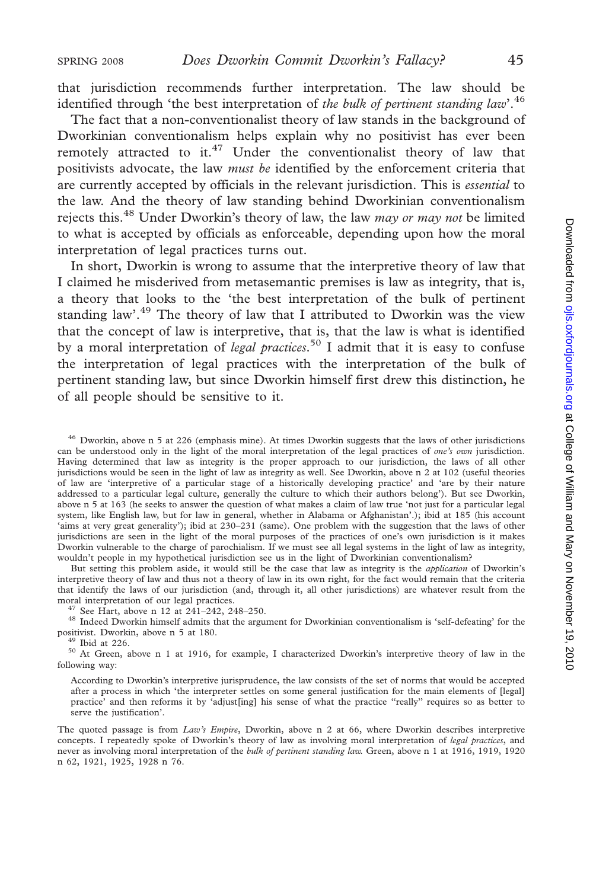that jurisdiction recommends further interpretation. The law should be identified through 'the best interpretation of the bulk of pertinent standing law'.<sup>46</sup>

The fact that a non-conventionalist theory of law stands in the background of Dworkinian conventionalism helps explain why no positivist has ever been remotely attracted to it.<sup>47</sup> Under the conventionalist theory of law that positivists advocate, the law must be identified by the enforcement criteria that are currently accepted by officials in the relevant jurisdiction. This is *essential* to the law. And the theory of law standing behind Dworkinian conventionalism rejects this. $48$  Under Dworkin's theory of law, the law may or may not be limited to what is accepted by officials as enforceable, depending upon how the moral interpretation of legal practices turns out.

In short, Dworkin is wrong to assume that the interpretive theory of law that I claimed he misderived from metasemantic premises is law as integrity, that is, a theory that looks to the 'the best interpretation of the bulk of pertinent standing law'.<sup>49</sup> The theory of law that I attributed to Dworkin was the view that the concept of law is interpretive, that is, that the law is what is identified by a moral interpretation of *legal practices*.<sup>50</sup> I admit that it is easy to confuse the interpretation of legal practices with the interpretation of the bulk of pertinent standing law, but since Dworkin himself first drew this distinction, he of all people should be sensitive to it.

<sup>46</sup> Dworkin, above n 5 at 226 (emphasis mine). At times Dworkin suggests that the laws of other jurisdictions can be understood only in the light of the moral interpretation of the legal practices of one's own jurisdiction. Having determined that law as integrity is the proper approach to our jurisdiction, the laws of all other jurisdictions would be seen in the light of law as integrity as well. See Dworkin, above n 2 at 102 (useful theories of law are 'interpretive of a particular stage of a historically developing practice' and 'are by their nature addressed to a particular legal culture, generally the culture to which their authors belong'). But see Dworkin, above n 5 at 163 (he seeks to answer the question of what makes a claim of law true 'not just for a particular legal system, like English law, but for law in general, whether in Alabama or Afghanistan'.); ibid at 185 (his account 'aims at very great generality'); ibid at 230–231 (same). One problem with the suggestion that the laws of other jurisdictions are seen in the light of the moral purposes of the practices of one's own jurisdiction is it makes Dworkin vulnerable to the charge of parochialism. If we must see all legal systems in the light of law as integrity, wouldn't people in my hypothetical jurisdiction see us in the light of Dworkinian conventionalism?

But setting this problem aside, it would still be the case that law as integrity is the application of Dworkin's interpretive theory of law and thus not a theory of law in its own right, for the fact would remain that the criteria that identify the laws of our jurisdiction (and, through it, all other jurisdictions) are whatever result from the moral interpretation of our legal practices.<br> $^{47}$  See Hart, above n 12 at 241–242, 248–250.<br> $^{48}$  Indeed Dworkin himself admits that the argument for Dworkinian conventionalism is 'self-defeating' for the

positivist. Dworkin, above n 5 at 180.<br><sup>49</sup> Ibid at 226.<br><sup>50</sup> At Green, above n 1 at 1916, for example, I characterized Dworkin's interpretive theory of law in the

following way:

According to Dworkin's interpretive jurisprudence, the law consists of the set of norms that would be accepted after a process in which 'the interpreter settles on some general justification for the main elements of [legal] practice' and then reforms it by 'adjust[ing] his sense of what the practice ''really'' requires so as better to serve the justification'.

The quoted passage is from Law's Empire, Dworkin, above n 2 at 66, where Dworkin describes interpretive concepts. I repeatedly spoke of Dworkin's theory of law as involving moral interpretation of legal practices, and never as involving moral interpretation of the bulk of pertinent standing law. Green, above n 1 at 1916, 1919, 1920 n 62, 1921, 1925, 1928 n 76.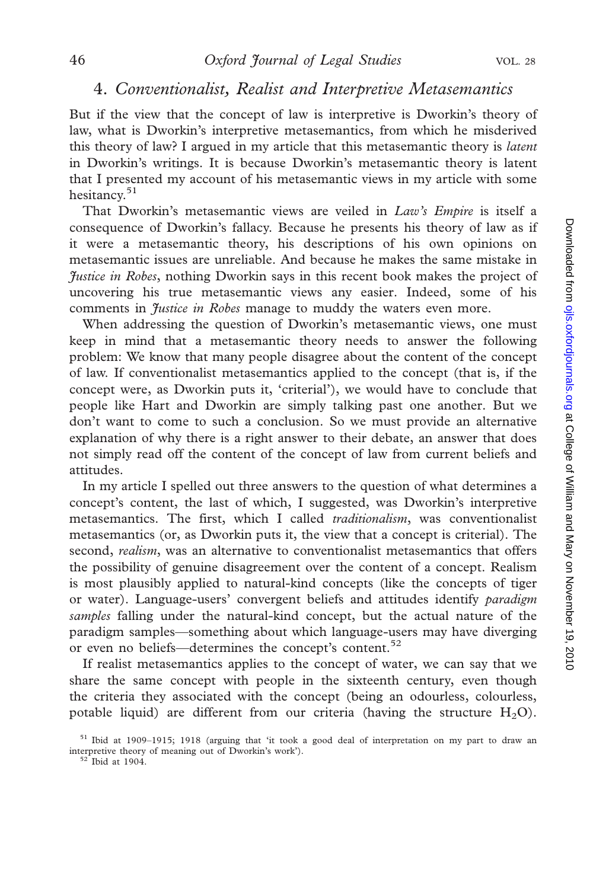## 4. Conventionalist, Realist and Interpretive Metasemantics

But if the view that the concept of law is interpretive is Dworkin's theory of law, what is Dworkin's interpretive metasemantics, from which he misderived this theory of law? I argued in my article that this metasemantic theory is latent in Dworkin's writings. It is because Dworkin's metasemantic theory is latent that I presented my account of his metasemantic views in my article with some hesitancy.<sup>51</sup>

That Dworkin's metasemantic views are veiled in Law's Empire is itself a consequence of Dworkin's fallacy. Because he presents his theory of law as if it were a metasemantic theory, his descriptions of his own opinions on metasemantic issues are unreliable. And because he makes the same mistake in *Justice in Robes,* nothing Dworkin says in this recent book makes the project of uncovering his true metasemantic views any easier. Indeed, some of his comments in *Justice in Robes* manage to muddy the waters even more.

When addressing the question of Dworkin's metasemantic views, one must keep in mind that a metasemantic theory needs to answer the following problem: We know that many people disagree about the content of the concept of law. If conventionalist metasemantics applied to the concept (that is, if the concept were, as Dworkin puts it, 'criterial'), we would have to conclude that people like Hart and Dworkin are simply talking past one another. But we don't want to come to such a conclusion. So we must provide an alternative explanation of why there is a right answer to their debate, an answer that does not simply read off the content of the concept of law from current beliefs and attitudes.

In my article I spelled out three answers to the question of what determines a concept's content, the last of which, I suggested, was Dworkin's interpretive metasemantics. The first, which I called traditionalism, was conventionalist metasemantics (or, as Dworkin puts it, the view that a concept is criterial). The second, *realism*, was an alternative to conventionalist metasemantics that offers the possibility of genuine disagreement over the content of a concept. Realism is most plausibly applied to natural-kind concepts (like the concepts of tiger or water). Language-users' convergent beliefs and attitudes identify paradigm samples falling under the natural-kind concept, but the actual nature of the paradigm samples—something about which language-users may have diverging or even no beliefs—determines the concept's content.<sup>52</sup>

If realist metasemantics applies to the concept of water, we can say that we share the same concept with people in the sixteenth century, even though the criteria they associated with the concept (being an odourless, colourless, potable liquid) are different from our criteria (having the structure  $H_2O$ ).

<sup>51</sup> Ibid at 1909–1915; 1918 (arguing that 'it took a good deal of interpretation on my part to draw an interpretive theory of meaning out of Dworkin's work'). <sup>52</sup> Ibid at 1904.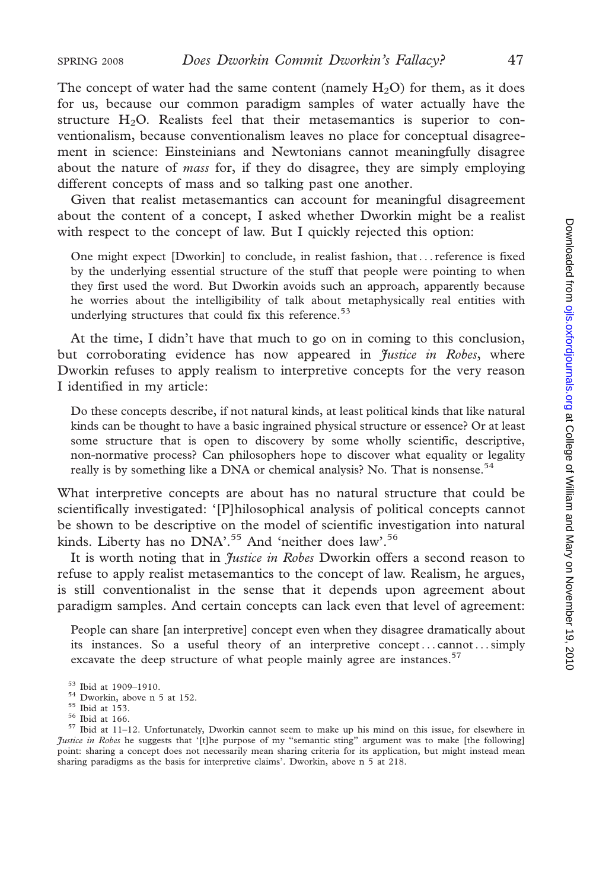The concept of water had the same content (namely  $H_2O$ ) for them, as it does for us, because our common paradigm samples of water actually have the structure  $H<sub>2</sub>O$ . Realists feel that their metasemantics is superior to conventionalism, because conventionalism leaves no place for conceptual disagreement in science: Einsteinians and Newtonians cannot meaningfully disagree about the nature of mass for, if they do disagree, they are simply employing different concepts of mass and so talking past one another.

Given that realist metasemantics can account for meaningful disagreement about the content of a concept, I asked whether Dworkin might be a realist with respect to the concept of law. But I quickly rejected this option:

One might expect [Dworkin] to conclude, in realist fashion, that...reference is fixed by the underlying essential structure of the stuff that people were pointing to when they first used the word. But Dworkin avoids such an approach, apparently because he worries about the intelligibility of talk about metaphysically real entities with underlying structures that could fix this reference.<sup>53</sup>

At the time, I didn't have that much to go on in coming to this conclusion, but corroborating evidence has now appeared in *Justice in Robes*, where Dworkin refuses to apply realism to interpretive concepts for the very reason I identified in my article:

Do these concepts describe, if not natural kinds, at least political kinds that like natural kinds can be thought to have a basic ingrained physical structure or essence? Or at least some structure that is open to discovery by some wholly scientific, descriptive, non-normative process? Can philosophers hope to discover what equality or legality really is by something like a DNA or chemical analysis? No. That is nonsense.<sup>54</sup>

What interpretive concepts are about has no natural structure that could be scientifically investigated: '[P]hilosophical analysis of political concepts cannot be shown to be descriptive on the model of scientific investigation into natural kinds. Liberty has no DNA'.<sup>55</sup> And 'neither does law'.<sup>56</sup>

It is worth noting that in *Justice in Robes* Dworkin offers a second reason to refuse to apply realist metasemantics to the concept of law. Realism, he argues, is still conventionalist in the sense that it depends upon agreement about paradigm samples. And certain concepts can lack even that level of agreement:

People can share [an interpretive] concept even when they disagree dramatically about its instances. So a useful theory of an interpretive concept ... cannot ...simply excavate the deep structure of what people mainly agree are instances.<sup>57</sup>

<sup>53</sup> Ibid at 1909–1910.<br>54 Dworkin, above n 5 at 152.<br>55 Ibid at 153.<br>56 Ibid at 154. 57 Ibid at 11–12. Unfortunately, Dworkin cannot seem to make up his mind on this issue, for elsewhere in Justice in Robes he suggests that '[t]he purpose of my ''semantic sting'' argument was to make [the following] point: sharing a concept does not necessarily mean sharing criteria for its application, but might instead mean sharing paradigms as the basis for interpretive claims'. Dworkin, above n 5 at 218.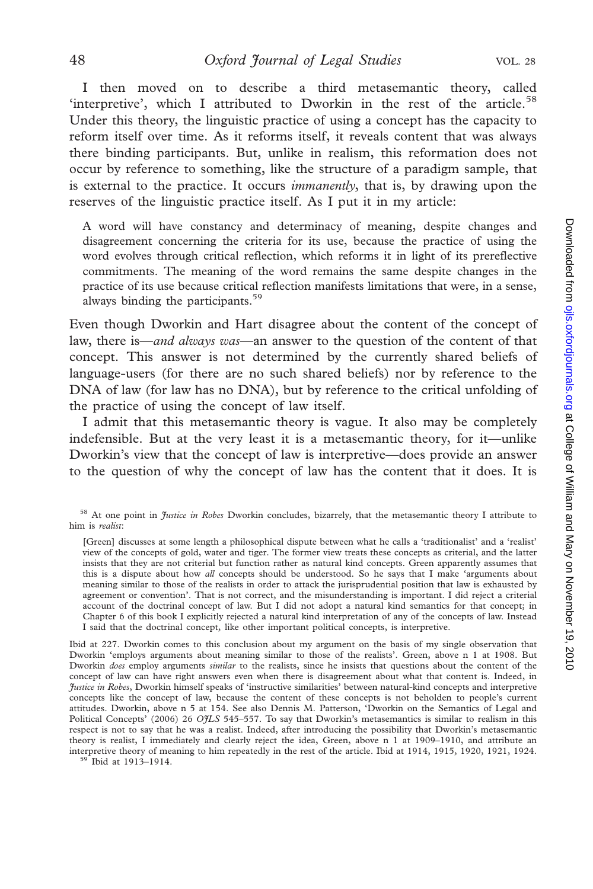I then moved on to describe a third metasemantic theory, called 'interpretive', which I attributed to Dworkin in the rest of the article.<sup>58</sup> Under this theory, the linguistic practice of using a concept has the capacity to reform itself over time. As it reforms itself, it reveals content that was always there binding participants. But, unlike in realism, this reformation does not occur by reference to something, like the structure of a paradigm sample, that is external to the practice. It occurs *immanently*, that is, by drawing upon the reserves of the linguistic practice itself. As I put it in my article:

A word will have constancy and determinacy of meaning, despite changes and disagreement concerning the criteria for its use, because the practice of using the word evolves through critical reflection, which reforms it in light of its prereflective commitments. The meaning of the word remains the same despite changes in the practice of its use because critical reflection manifests limitations that were, in a sense, always binding the participants.<sup>59</sup>

Even though Dworkin and Hart disagree about the content of the concept of law, there is—and always was—an answer to the question of the content of that concept. This answer is not determined by the currently shared beliefs of language-users (for there are no such shared beliefs) nor by reference to the DNA of law (for law has no DNA), but by reference to the critical unfolding of the practice of using the concept of law itself.

I admit that this metasemantic theory is vague. It also may be completely indefensible. But at the very least it is a metasemantic theory, for it—unlike Dworkin's view that the concept of law is interpretive—does provide an answer to the question of why the concept of law has the content that it does. It is

[Green] discusses at some length a philosophical dispute between what he calls a 'traditionalist' and a 'realist' view of the concepts of gold, water and tiger. The former view treats these concepts as criterial, and the latter insists that they are not criterial but function rather as natural kind concepts. Green apparently assumes that this is a dispute about how all concepts should be understood. So he says that I make 'arguments about meaning similar to those of the realists in order to attack the jurisprudential position that law is exhausted by agreement or convention'. That is not correct, and the misunderstanding is important. I did reject a criterial account of the doctrinal concept of law. But I did not adopt a natural kind semantics for that concept; in Chapter 6 of this book I explicitly rejected a natural kind interpretation of any of the concepts of law. Instead I said that the doctrinal concept, like other important political concepts, is interpretive.

Ibid at 227. Dworkin comes to this conclusion about my argument on the basis of my single observation that Dworkin 'employs arguments about meaning similar to those of the realists'. Green, above n 1 at 1908. But Dworkin does employ arguments *similar* to the realists, since he insists that questions about the content of the concept of law can have right answers even when there is disagreement about what that content is. Indeed, in Justice in Robes, Dworkin himself speaks of 'instructive similarities' between natural-kind concepts and interpretive concepts like the concept of law, because the content of these concepts is not beholden to people's current attitudes. Dworkin, above n 5 at 154. See also Dennis M. Patterson, 'Dworkin on the Semantics of Legal and Political Concepts' (2006) 26 OJLS 545–557. To say that Dworkin's metasemantics is similar to realism in this respect is not to say that he was a realist. Indeed, after introducing the possibility that Dworkin's metasemantic theory is realist, I immediately and clearly reject the idea, Green, above n 1 at 1909–1910, and attribute an interpretive theory of meaning to him repeatedly in the rest of the article. Ibid at 1914, 1915, 1920, 1921, 1924. <sup>59</sup> Ibid at 1913–1914.

<sup>&</sup>lt;sup>58</sup> At one point in *Justice in Robes* Dworkin concludes, bizarrely, that the metasemantic theory I attribute to him is realist: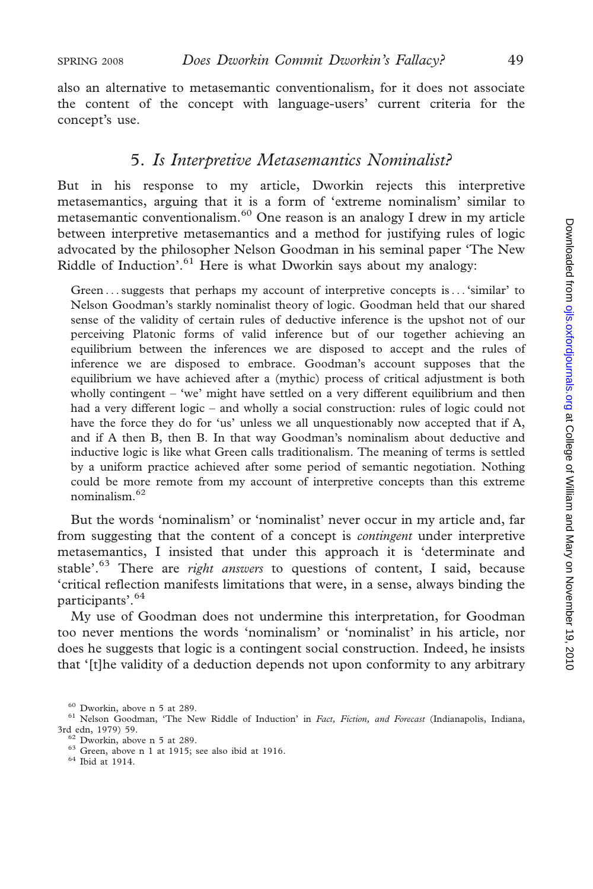also an alternative to metasemantic conventionalism, for it does not associate the content of the concept with language-users' current criteria for the concept's use.

## 5. Is Interpretive Metasemantics Nominalist?

But in his response to my article, Dworkin rejects this interpretive metasemantics, arguing that it is a form of 'extreme nominalism' similar to metasemantic conventionalism. $60$  One reason is an analogy I drew in my article between interpretive metasemantics and a method for justifying rules of logic advocated by the philosopher Nelson Goodman in his seminal paper 'The New Riddle of Induction'. $61$  Here is what Dworkin says about my analogy:

Green ...suggests that perhaps my account of interpretive concepts is... 'similar' to Nelson Goodman's starkly nominalist theory of logic. Goodman held that our shared sense of the validity of certain rules of deductive inference is the upshot not of our perceiving Platonic forms of valid inference but of our together achieving an equilibrium between the inferences we are disposed to accept and the rules of inference we are disposed to embrace. Goodman's account supposes that the equilibrium we have achieved after a (mythic) process of critical adjustment is both wholly contingent – 'we' might have settled on a very different equilibrium and then had a very different logic – and wholly a social construction: rules of logic could not have the force they do for 'us' unless we all unquestionably now accepted that if A, and if A then B, then B. In that way Goodman's nominalism about deductive and inductive logic is like what Green calls traditionalism. The meaning of terms is settled by a uniform practice achieved after some period of semantic negotiation. Nothing could be more remote from my account of interpretive concepts than this extreme nominalism.<sup>62</sup>

But the words 'nominalism' or 'nominalist' never occur in my article and, far from suggesting that the content of a concept is *contingent* under interpretive metasemantics, I insisted that under this approach it is 'determinate and stable'.<sup>63</sup> There are *right answers* to questions of content, I said, because 'critical reflection manifests limitations that were, in a sense, always binding the participants'.<sup>64</sup>

My use of Goodman does not undermine this interpretation, for Goodman too never mentions the words 'nominalism' or 'nominalist' in his article, nor does he suggests that logic is a contingent social construction. Indeed, he insists that '[t]he validity of a deduction depends not upon conformity to any arbitrary

<sup>&</sup>lt;sup>60</sup> Dworkin, above n 5 at 289.<br><sup>61</sup> Nelson Goodman, 'The New Riddle of Induction' in *Fact, Fiction, and Forecast* (Indianapolis, Indiana, 3rd edn, 1979) 59.

<sup>&</sup>lt;sup>62</sup> Dworkin, above n 5 at 289.<br><sup>63</sup> Green, above n 1 at 1915; see also ibid at 1916.<br><sup>64</sup> Ibid at 1914.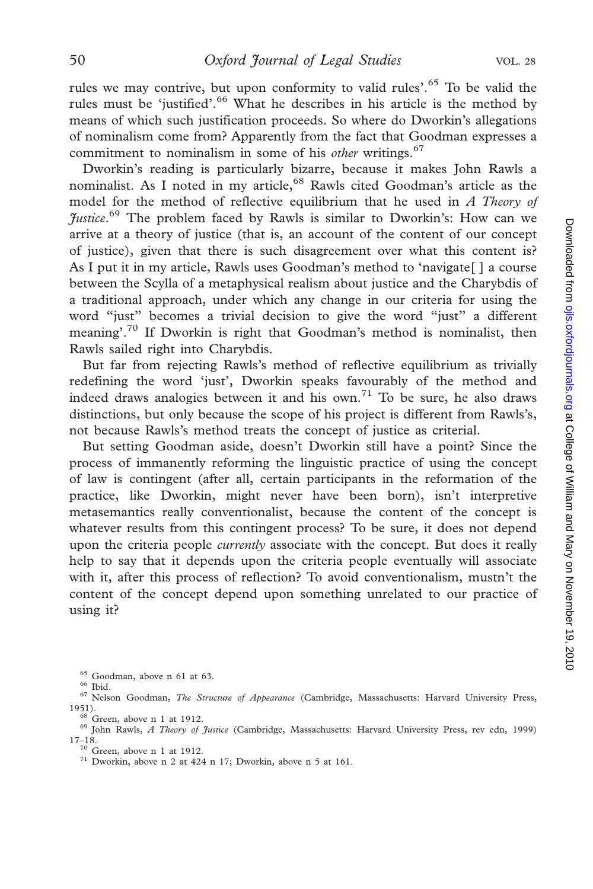rules we may contrive, but upon conformity to valid rules'.<sup>65</sup> To be valid the rules must be 'justified'.<sup>66</sup> What he describes in his article is the method by means of which such justification proceeds. So where do Dworkin's allegations of nominalism come from? Apparently from the fact that Goodman expresses a commitment to nominalism in some of his *other* writings.<sup>67</sup>

Dworkin's reading is particularly bizarre, because it makes John Rawls a nominalist. As I noted in my article,<sup>68</sup> Rawls cited Goodman's article as the model for the method of reflective equilibrium that he used in A Theory of *Justice*.<sup>69</sup> The problem faced by Rawls is similar to Dworkin's: How can we arrive at a theory of justice (that is, an account of the content of our concept of justice), given that there is such disagreement over what this content is? As I put it in my article, Rawls uses Goodman's method to 'navigate[ ] a course between the Scylla of a metaphysical realism about justice and the Charybdis of a traditional approach, under which any change in our criteria for using the word ''just'' becomes a trivial decision to give the word ''just'' a different meaning'.<sup>70</sup> If Dworkin is right that Goodman's method is nominalist, then Rawls sailed right into Charybdis.

But far from rejecting Rawls's method of reflective equilibrium as trivially redefining the word 'just', Dworkin speaks favourably of the method and indeed draws analogies between it and his own.<sup>71</sup> To be sure, he also draws distinctions, but only because the scope of his project is different from Rawls's, not because Rawls's method treats the concept of justice as criterial.

But setting Goodman aside, doesn't Dworkin still have a point? Since the process of immanently reforming the linguistic practice of using the concept of law is contingent (after all, certain participants in the reformation of the practice, like Dworkin, might never have been born), isn't interpretive metasemantics really conventionalist, because the content of the concept is whatever results from this contingent process? To be sure, it does not depend upon the criteria people *currently* associate with the concept. But does it really help to say that it depends upon the criteria people eventually will associate with it, after this process of reflection? To avoid conventionalism, mustn't the content of the concept depend upon something unrelated to our practice of using it?

<sup>65</sup> Goodman, above n 61 at 63.<br><sup>66</sup> Ibid. 67 Nelson Goodman, *The Structure of Appearance* (Cambridge, Massachusetts: Harvard University Press, 1951).<br><sup>68</sup> Green, above n 1 at 1912.<br><sup>69</sup> John Rawls, *A Theory of Justice* (Cambridge, Massachusetts: Harvard University Press, rev edn, 1999)

- 17–18.<br><sup>70</sup> Green, above n 1 at 1912.<br><sup>71</sup> Dworkin, above n 2 at 424 n 17; Dworkin, above n 5 at 161.
	-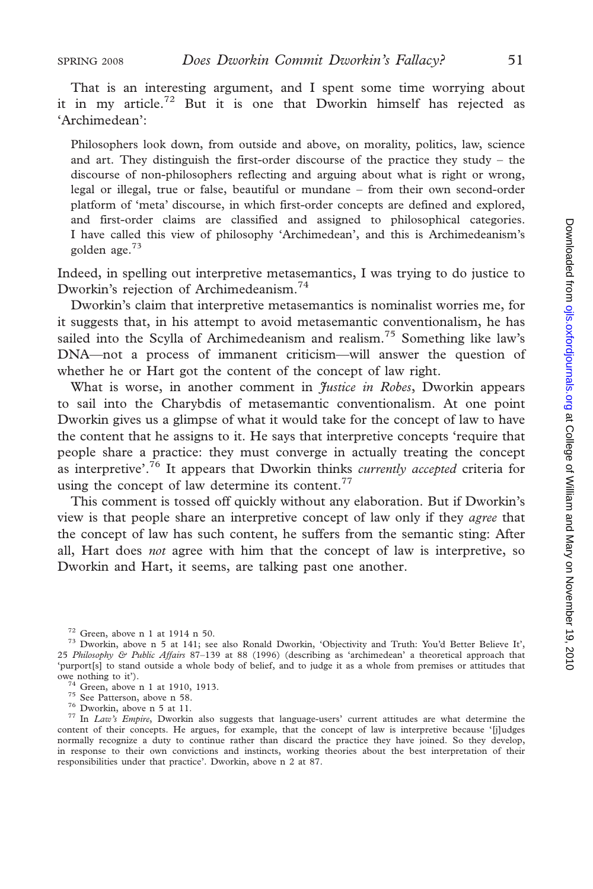That is an interesting argument, and I spent some time worrying about it in my article.<sup>72</sup> But it is one that Dworkin himself has rejected as 'Archimedean':

Philosophers look down, from outside and above, on morality, politics, law, science and art. They distinguish the first-order discourse of the practice they study – the discourse of non-philosophers reflecting and arguing about what is right or wrong, legal or illegal, true or false, beautiful or mundane – from their own second-order platform of 'meta' discourse, in which first-order concepts are defined and explored, and first-order claims are classified and assigned to philosophical categories. I have called this view of philosophy 'Archimedean', and this is Archimedeanism's golden age.<sup>73</sup>

Indeed, in spelling out interpretive metasemantics, I was trying to do justice to Dworkin's rejection of Archimedeanism.<sup>74</sup>

Dworkin's claim that interpretive metasemantics is nominalist worries me, for it suggests that, in his attempt to avoid metasemantic conventionalism, he has sailed into the Scylla of Archimedeanism and realism.<sup>75</sup> Something like law's DNA—not a process of immanent criticism—will answer the question of whether he or Hart got the content of the concept of law right.

What is worse, in another comment in *Justice in Robes*, Dworkin appears to sail into the Charybdis of metasemantic conventionalism. At one point Dworkin gives us a glimpse of what it would take for the concept of law to have the content that he assigns to it. He says that interpretive concepts 'require that people share a practice: they must converge in actually treating the concept as interpretive'.<sup>76</sup> It appears that Dworkin thinks *currently accepted* criteria for using the concept of law determine its content.<sup>77</sup>

This comment is tossed off quickly without any elaboration. But if Dworkin's view is that people share an interpretive concept of law only if they agree that the concept of law has such content, he suffers from the semantic sting: After all, Hart does not agree with him that the concept of law is interpretive, so Dworkin and Hart, it seems, are talking past one another.

<sup>74</sup> Green, above n 1 at 1910, 1913.<br><sup>75</sup> See Patterson, above n 58. <sup>76</sup> Dworkin, above n 5 at 11. <sup>77</sup> In *Law's Empire*, Dworkin also suggests that language-users' current attitudes are what determine the <sup>77</sup> In *Law'* content of their concepts. He argues, for example, that the concept of law is interpretive because '[j]udges normally recognize a duty to continue rather than discard the practice they have joined. So they develop, in response to their own convictions and instincts, working theories about the best interpretation of their responsibilities under that practice'. Dworkin, above n 2 at 87.

<sup>&</sup>lt;sup>72</sup> Green, above n 1 at 1914 n 50.<br><sup>73</sup> Dworkin, above n 5 at 141; see also Ronald Dworkin, 'Objectivity and Truth: You'd Better Believe It', 25 Philosophy & Public Affairs 87–139 at 88 (1996) (describing as 'archimedean' a theoretical approach that 'purport[s] to stand outside a whole body of belief, and to judge it as a whole from premises or attitudes that owe nothing to it').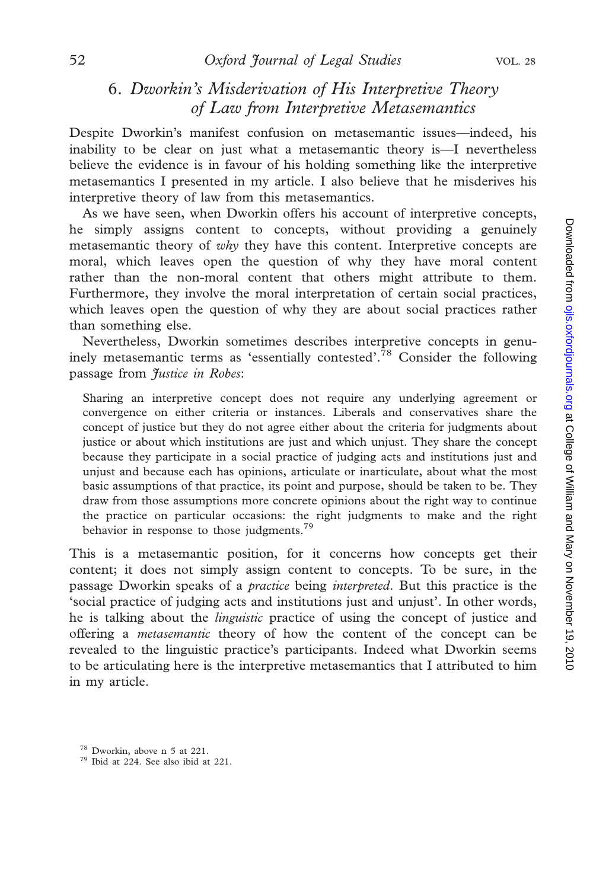# 6. Dworkin's Misderivation of His Interpretive Theory of Law from Interpretive Metasemantics

Despite Dworkin's manifest confusion on metasemantic issues—indeed, his inability to be clear on just what a metasemantic theory is—I nevertheless believe the evidence is in favour of his holding something like the interpretive metasemantics I presented in my article. I also believe that he misderives his interpretive theory of law from this metasemantics.

As we have seen, when Dworkin offers his account of interpretive concepts, he simply assigns content to concepts, without providing a genuinely metasemantic theory of why they have this content. Interpretive concepts are moral, which leaves open the question of why they have moral content rather than the non-moral content that others might attribute to them. Furthermore, they involve the moral interpretation of certain social practices, which leaves open the question of why they are about social practices rather than something else.

Nevertheless, Dworkin sometimes describes interpretive concepts in genuinely metasemantic terms as 'essentially contested'.<sup>78</sup> Consider the following passage from Justice in Robes:

Sharing an interpretive concept does not require any underlying agreement or convergence on either criteria or instances. Liberals and conservatives share the concept of justice but they do not agree either about the criteria for judgments about justice or about which institutions are just and which unjust. They share the concept because they participate in a social practice of judging acts and institutions just and unjust and because each has opinions, articulate or inarticulate, about what the most basic assumptions of that practice, its point and purpose, should be taken to be. They draw from those assumptions more concrete opinions about the right way to continue the practice on particular occasions: the right judgments to make and the right behavior in response to those judgments.<sup>79</sup>

This is a metasemantic position, for it concerns how concepts get their content; it does not simply assign content to concepts. To be sure, in the passage Dworkin speaks of a *practice* being *interpreted*. But this practice is the 'social practice of judging acts and institutions just and unjust'. In other words, he is talking about the linguistic practice of using the concept of justice and offering a metasemantic theory of how the content of the concept can be revealed to the linguistic practice's participants. Indeed what Dworkin seems to be articulating here is the interpretive metasemantics that I attributed to him in my article.

 $78$  Dworkin, above n 5 at 221.<br> $79$  Ibid at 224. See also ibid at 221.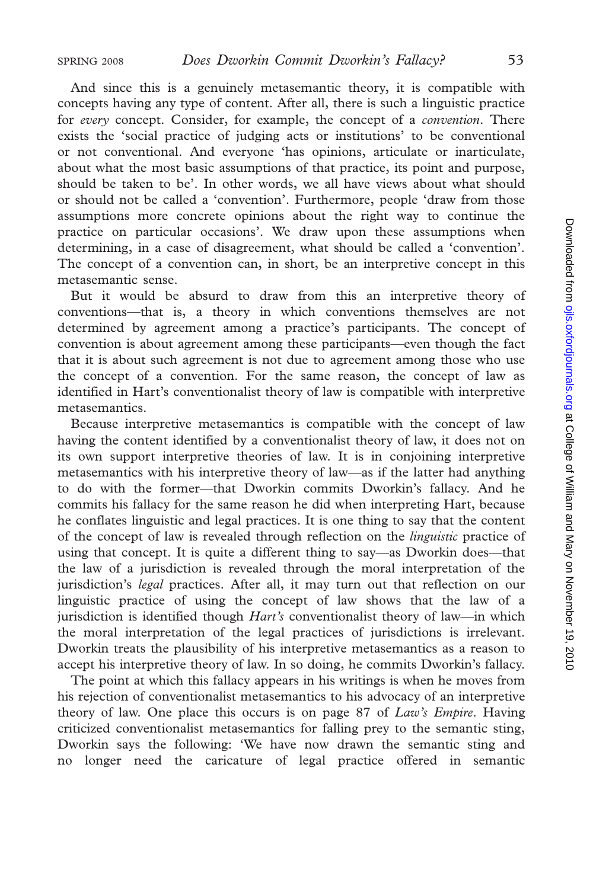And since this is a genuinely metasemantic theory, it is compatible with concepts having any type of content. After all, there is such a linguistic practice for every concept. Consider, for example, the concept of a convention. There exists the 'social practice of judging acts or institutions' to be conventional or not conventional. And everyone 'has opinions, articulate or inarticulate, about what the most basic assumptions of that practice, its point and purpose, should be taken to be'. In other words, we all have views about what should or should not be called a 'convention'. Furthermore, people 'draw from those assumptions more concrete opinions about the right way to continue the practice on particular occasions'. We draw upon these assumptions when determining, in a case of disagreement, what should be called a 'convention'. The concept of a convention can, in short, be an interpretive concept in this metasemantic sense.

But it would be absurd to draw from this an interpretive theory of conventions—that is, a theory in which conventions themselves are not determined by agreement among a practice's participants. The concept of convention is about agreement among these participants—even though the fact that it is about such agreement is not due to agreement among those who use the concept of a convention. For the same reason, the concept of law as identified in Hart's conventionalist theory of law is compatible with interpretive metasemantics.

Because interpretive metasemantics is compatible with the concept of law having the content identified by a conventionalist theory of law, it does not on its own support interpretive theories of law. It is in conjoining interpretive metasemantics with his interpretive theory of law—as if the latter had anything to do with the former—that Dworkin commits Dworkin's fallacy. And he commits his fallacy for the same reason he did when interpreting Hart, because he conflates linguistic and legal practices. It is one thing to say that the content of the concept of law is revealed through reflection on the *linguistic* practice of using that concept. It is quite a different thing to say—as Dworkin does—that the law of a jurisdiction is revealed through the moral interpretation of the jurisdiction's *legal* practices. After all, it may turn out that reflection on our linguistic practice of using the concept of law shows that the law of a jurisdiction is identified though *Hart's* conventionalist theory of law—in which the moral interpretation of the legal practices of jurisdictions is irrelevant. Dworkin treats the plausibility of his interpretive metasemantics as a reason to accept his interpretive theory of law. In so doing, he commits Dworkin's fallacy.

The point at which this fallacy appears in his writings is when he moves from his rejection of conventionalist metasemantics to his advocacy of an interpretive theory of law. One place this occurs is on page 87 of Law's Empire. Having criticized conventionalist metasemantics for falling prey to the semantic sting, Dworkin says the following: 'We have now drawn the semantic sting and no longer need the caricature of legal practice offered in semantic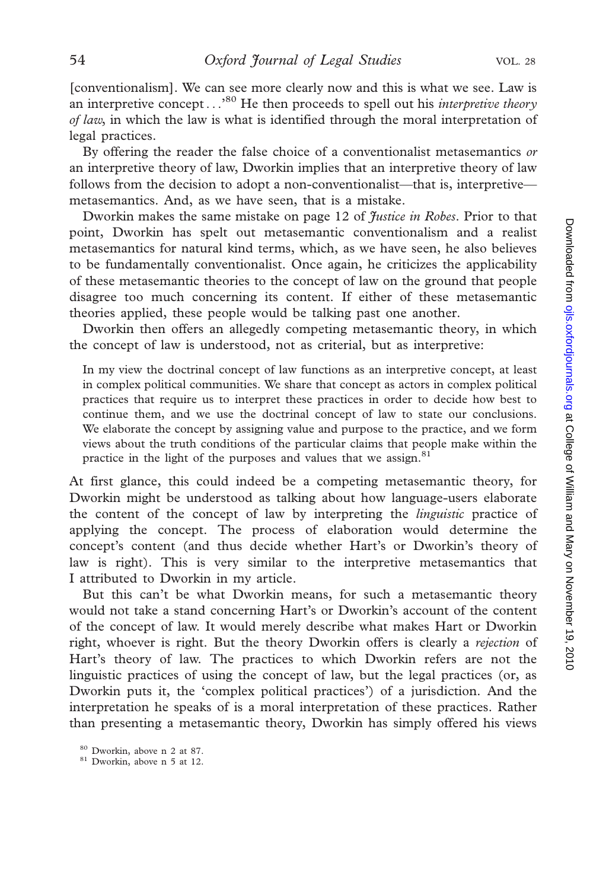[conventionalism]. We can see more clearly now and this is what we see. Law is an interpretive concept...<sup>80</sup> He then proceeds to spell out his *interpretive theory* of law, in which the law is what is identified through the moral interpretation of legal practices.

By offering the reader the false choice of a conventionalist metasemantics or an interpretive theory of law, Dworkin implies that an interpretive theory of law follows from the decision to adopt a non-conventionalist—that is, interpretive metasemantics. And, as we have seen, that is a mistake.

Dworkin makes the same mistake on page 12 of *Justice in Robes*. Prior to that point, Dworkin has spelt out metasemantic conventionalism and a realist metasemantics for natural kind terms, which, as we have seen, he also believes to be fundamentally conventionalist. Once again, he criticizes the applicability of these metasemantic theories to the concept of law on the ground that people disagree too much concerning its content. If either of these metasemantic theories applied, these people would be talking past one another.

Dworkin then offers an allegedly competing metasemantic theory, in which the concept of law is understood, not as criterial, but as interpretive:

In my view the doctrinal concept of law functions as an interpretive concept, at least in complex political communities. We share that concept as actors in complex political practices that require us to interpret these practices in order to decide how best to continue them, and we use the doctrinal concept of law to state our conclusions. We elaborate the concept by assigning value and purpose to the practice, and we form views about the truth conditions of the particular claims that people make within the practice in the light of the purposes and values that we assign.<sup>81</sup>

At first glance, this could indeed be a competing metasemantic theory, for Dworkin might be understood as talking about how language-users elaborate the content of the concept of law by interpreting the *linguistic* practice of applying the concept. The process of elaboration would determine the concept's content (and thus decide whether Hart's or Dworkin's theory of law is right). This is very similar to the interpretive metasemantics that I attributed to Dworkin in my article.

But this can't be what Dworkin means, for such a metasemantic theory would not take a stand concerning Hart's or Dworkin's account of the content of the concept of law. It would merely describe what makes Hart or Dworkin right, whoever is right. But the theory Dworkin offers is clearly a rejection of Hart's theory of law. The practices to which Dworkin refers are not the linguistic practices of using the concept of law, but the legal practices (or, as Dworkin puts it, the 'complex political practices') of a jurisdiction. And the interpretation he speaks of is a moral interpretation of these practices. Rather than presenting a metasemantic theory, Dworkin has simply offered his views

 $\frac{80}{81}$  Dworkin, above n 2 at 87.<br><sup>81</sup> Dworkin, above n 5 at 12.